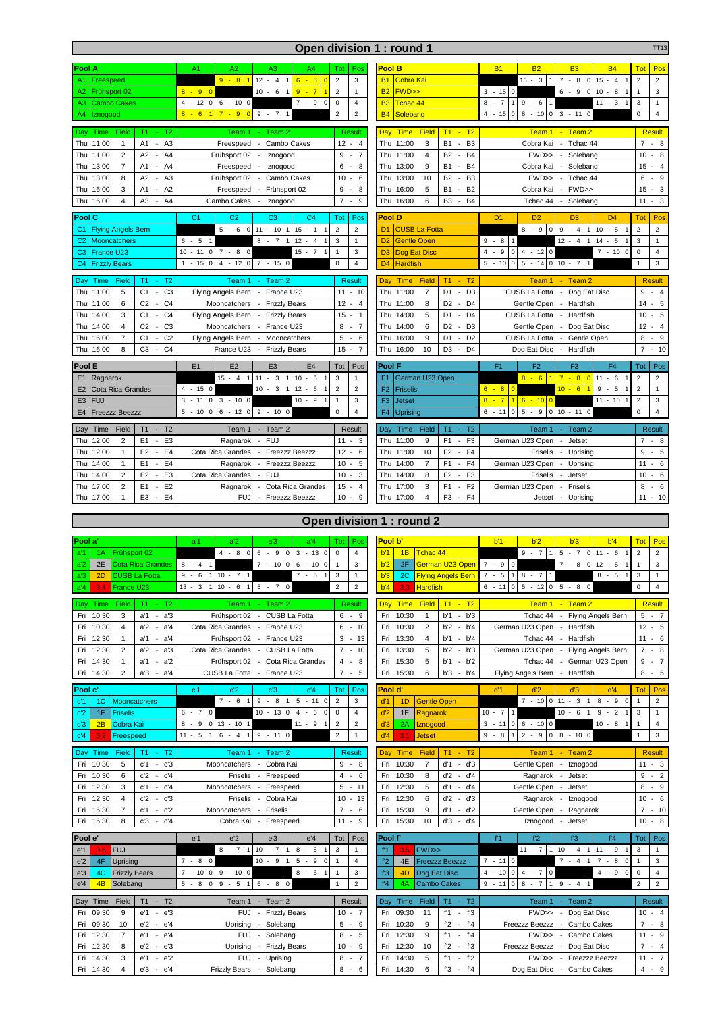|                                                                                                                                    |                                                                                                 |                                              | Open division 1 : round 1                                                                                                          |                                                                                                                   | <b>TT13</b>                                                  |
|------------------------------------------------------------------------------------------------------------------------------------|-------------------------------------------------------------------------------------------------|----------------------------------------------|------------------------------------------------------------------------------------------------------------------------------------|-------------------------------------------------------------------------------------------------------------------|--------------------------------------------------------------|
| Pool A                                                                                                                             | A <sub>1</sub><br>A2<br>A <sub>3</sub><br>A4                                                    | Tot<br>Pos                                   | Pool B                                                                                                                             | <b>B1</b><br><b>B2</b><br><b>B3</b><br><b>B4</b>                                                                  | Tot<br>Pos                                                   |
| Freespeed<br>A1                                                                                                                    | $12 - 4$<br>$9 - 811$<br>$6 - 8$ 0<br>$\vert$ 1                                                 | $\overline{2}$<br>3                          | Cobra Kai<br><b>B1</b>                                                                                                             | $15 - 3$<br>$\overline{7}$<br>$-8$<br>$015 - 4$<br>$\mathbf{1}$<br>1                                              | $\overline{2}$<br>$\overline{2}$                             |
| Frühsport 02<br>A2                                                                                                                 | $9 - 7$<br>$8 - 9$<br>$10 - 6$<br>$\overline{0}$<br>1 <sup>1</sup>                              | $\overline{2}$<br>$\mathbf{1}$               | <b>B2</b><br><b>FWD&gt;&gt;</b>                                                                                                    | $6 - 9$<br>$\mathbf 0$<br>$10 -$<br>8<br>$3 - 150$                                                                | 3<br>$\mathbf{1}$                                            |
| A3<br><b>Cambo Cakes</b>                                                                                                           | $4 - 12$<br>$7 - 9$<br>$0 \t6 - 10 \t0$<br>0                                                    | $\overline{4}$<br>$\mathbf 0$                | <b>B3</b><br>Tchac 44                                                                                                              | $8 - 7$<br>$11 - 3$<br>$9 - 61$                                                                                   | $\sqrt{3}$<br>$\mathbf{1}$                                   |
| A4<br>Iznogood                                                                                                                     | $7 - 9$<br>$9 - 7$<br>$8 - 6$<br>$\overline{0}$<br>1 <sup>1</sup>                               | $\overline{2}$<br>$\overline{\mathbf{c}}$    | <b>B4</b><br>Solebang                                                                                                              | 8<br>$\mathbf 0$<br>$3 - 11$<br>$4 - 15$<br>$\mathbf 0$<br>$-10$<br>$\mathbf 0$                                   | $\mathsf 0$<br>$\overline{4}$                                |
| Time<br>Field<br>T1<br>$- T2$<br>Day                                                                                               | Team 1<br>Team 2                                                                                | Result                                       | <b>Time</b><br>T1<br>$- T2$<br>Day<br><b>Field</b>                                                                                 | Team 1 - Team 2                                                                                                   | <b>Result</b>                                                |
| A <sub>3</sub><br>Thu<br>11:00<br>A1<br>1                                                                                          | Freespeed<br>Cambo Cakes<br>$\overline{\phantom{a}}$                                            | 12<br>$\overline{4}$<br>$\sim$               | B <sub>3</sub><br>Thu<br>11:00<br>3<br><b>B1</b><br>$\sim$                                                                         | Cobra Kai<br>$\sim$<br>Tchac 44                                                                                   | 7<br>- 8                                                     |
| A <sub>2</sub><br>Thu 11:00<br>$\overline{2}$<br>A4                                                                                | Frühsport 02<br>Iznogood<br>$\sim$                                                              | 9<br>$-7$                                    | Thu 11:00<br>$\overline{4}$<br><b>B2</b><br>B <sub>4</sub><br>$\sim$                                                               | FWD>> - Solebang                                                                                                  | 10<br>$-8$                                                   |
| Thu 13:00<br>$\overline{7}$<br>A <sub>1</sub><br>A4<br>$\sim$                                                                      | Freespeed<br>- Iznogood                                                                         | $-8$<br>6                                    | Thu 13:00<br>9<br><b>B1</b><br>B <sub>4</sub><br>$\sim$                                                                            | Cobra Kai - Solebang                                                                                              | $-4$<br>15                                                   |
| 13:00<br>8<br>A <sub>2</sub><br>A <sub>3</sub><br>Thu                                                                              | Frühsport 02<br>Cambo Cakes<br>$\sim$                                                           | 10<br>6<br>$\sim$                            | 13:00<br>10<br><b>B2</b><br>B <sub>3</sub><br>Thu<br>÷,                                                                            | FWD>><br>Tchac 44<br>$\sim$                                                                                       | 6<br>$-9$                                                    |
| 3<br>Thu<br>16:00<br>A <sub>1</sub><br>$-A2$                                                                                       | Frühsport 02<br>Freespeed<br>$\sim$                                                             | 9<br>8<br>$\sim$                             | 5<br>Thu<br>16:00<br><b>B1</b><br>B <sub>2</sub><br>$\sim$                                                                         | FWD>><br>Cobra Kai<br>$\sim$                                                                                      | $-3$<br>15                                                   |
| 16:00<br>$\overline{4}$<br>A <sub>3</sub><br>A4<br>Thu<br>$\sim$                                                                   | Cambo Cakes<br>Iznogood<br>$\sim$                                                               | $\overline{7}$<br>9<br>$\sim$                | Thu<br>16:00<br>B <sub>3</sub><br>B <sub>4</sub><br>6<br>$\overline{\phantom{a}}$                                                  | Solebang<br>Tchac 44<br>$\overline{\phantom{a}}$                                                                  | $-3$<br>11                                                   |
| Pool C                                                                                                                             | C <sub>2</sub><br>C <sub>3</sub><br>C <sub>4</sub><br>C <sub>1</sub>                            | Tot<br>Pos                                   | <b>Pool D</b>                                                                                                                      | D <sub>1</sub><br>D <sub>2</sub><br>D <sub>3</sub><br>D <sub>4</sub>                                              | Tot<br>Pos                                                   |
| <b>Flying Angels Bern</b><br>C <sub>1</sub>                                                                                        | $5 - 6$ 0 11 - 10<br>$15 - 1$<br>1                                                              | $\overline{2}$<br>$\overline{2}$             | D <sub>1</sub><br><b>CUSB La Fotta</b>                                                                                             | $8 - 90$<br>9<br>$-4$<br>$10 - 5$<br>$\mathbf{1}$<br>$\mathbf{1}$                                                 | $\overline{2}$<br>$\overline{2}$                             |
| C <sub>2</sub><br>Mooncatchers<br>France U23                                                                                       | $6 - 5$<br>$8 - 7$<br>$12 - 4$<br>$\mathbf{1}$<br>$15 - 7$<br>$-11$<br>$7 - 8$<br>$\mathbf 0$   | 3<br>$\mathbf{1}$<br>3<br>$\mathbf{1}$       | D <sub>2</sub><br><b>Gentle Open</b><br>D <sub>3</sub>                                                                             | $9 - 8$<br>$12 - 4$<br>$14 - 5$<br>$\overline{1}$<br>$4 - 1200$<br>9<br>$7 - 10$<br>0<br>$\overline{\phantom{a}}$ | $\mathsf 3$<br>$\mathbf{1}$<br>$\mathsf 0$<br>$\overline{4}$ |
| C <sub>3</sub><br><b>Frizzly Bears</b><br>C <sub>4</sub>                                                                           | 10<br>0<br>$4 - 12$<br>$\mathsf 0$<br>$7 - 150$<br>$1 - 15$<br>$\mathbf 0$                      | $\overline{4}$<br>$\mathbf 0$                | Dog Eat Disc<br>D <sub>4</sub><br><b>Hardfish</b>                                                                                  | 4<br>$\mathbf 0$<br>$5 - 14$ 0 10 - 7<br>$5 - 10$<br>$\circ$<br>$\mathbf{1}$                                      | 3<br>$\mathbf{1}$                                            |
|                                                                                                                                    |                                                                                                 |                                              |                                                                                                                                    |                                                                                                                   |                                                              |
| T1<br>$- T2$<br>Field<br>Time<br>Day<br>Thu 11:00<br>C <sub>3</sub><br>5<br>C <sub>1</sub><br>$\sim$                               | Team 2<br>Team 1<br>Flying Angels Bern - France U23                                             | <b>Result</b><br>$11 - 10$                   | Field<br>T1<br>$- T2$<br>Day<br>Time<br>Thu<br>11:00<br>$\overline{7}$<br>D <sub>1</sub><br>D <sub>3</sub><br>$\sim$               | Team 1 - Team 2<br>CUSB La Fotta -<br>Dog Eat Disc                                                                | <b>Result</b><br>9<br>$-4$                                   |
| Thu 11:00<br>6<br>C <sub>2</sub><br>C <sub>4</sub><br>$\sim$                                                                       | Mooncatchers<br>- Frizzly Bears                                                                 | $12 - 4$                                     | 8<br>D <sub>2</sub><br>D <sub>4</sub><br>Thu 11:00<br>$\sim$                                                                       | Gentle Open<br>- Hardfish                                                                                         | 14<br>$-5$                                                   |
| C <sub>1</sub><br>C <sub>4</sub><br>3<br>Thu<br>14:00<br>$\sim$                                                                    | Flying Angels Bern<br>- Frizzly Bears                                                           | $15 - 1$                                     | 5<br>D <sub>1</sub><br>D <sub>4</sub><br>Thu 14:00<br>$\blacksquare$                                                               | CUSB La Fotta<br>Hardfish<br>$\sim$                                                                               | $-5$<br>10                                                   |
| Thu 14:00<br>C <sub>2</sub><br>C <sub>3</sub><br>$\overline{4}$<br>$\sim$                                                          | Mooncatchers<br>France U23                                                                      | 8<br>$-7$                                    | Thu 14:00<br>D <sub>2</sub><br>D <sub>3</sub><br>6<br>$\sim$                                                                       | Gentle Open - Dog Eat Disc                                                                                        | 12<br>$-4$                                                   |
| C <sub>2</sub><br>$\overline{7}$<br>C <sub>1</sub><br>16:00<br>Thu<br>$\sim$                                                       | Flying Angels Bern<br>Mooncatchers<br>$\sim$                                                    | 5<br>6<br>$\sim$                             | 9<br>D <sub>1</sub><br>D <sub>2</sub><br>Thu<br>16:00<br>$\overline{\phantom{a}}$                                                  | CUSB La Fotta - Gentle Open                                                                                       | $-9$<br>8                                                    |
| C <sub>3</sub><br>C <sub>4</sub><br>Thu 16:00<br>8<br>÷,                                                                           | France U23<br><b>Frizzly Bears</b><br>$\overline{\phantom{a}}$                                  | $15 -$<br>$\overline{7}$                     | 10<br>Thu 16:00<br>D <sub>3</sub><br>D <sub>4</sub><br>$\overline{\phantom{a}}$                                                    | Dog Eat Disc<br>- Hardfish                                                                                        | $\overline{7}$<br>$-10$                                      |
| Pool E                                                                                                                             | E1<br>E <sub>2</sub><br>E <sub>3</sub><br>E <sub>4</sub>                                        | Tot<br>Pos                                   | Pool F                                                                                                                             | F <sub>1</sub><br>F <sub>2</sub><br>F <sub>3</sub><br>F <sub>4</sub>                                              | Tot<br>Pos                                                   |
| Ragnarok<br>E1                                                                                                                     | $11 - 3$<br>$15 - 4$<br>$\mathbf{1}$<br>$10 - 5$                                                | 3<br>$\mathbf{1}$                            | F <sub>1</sub><br>German U23 Open                                                                                                  | $8 - 6$<br>$11 - 6$<br>7 <sup>1</sup><br>$-8$<br>$\overline{0}$<br>$\overline{1}$                                 | $\overline{2}$<br>$\overline{2}$                             |
| E <sub>2</sub><br><b>Cota Rica Grandes</b>                                                                                         | $10 - 3$<br>$12 -$<br>$4 - 15$<br>6<br>0                                                        | $\overline{2}$<br>$\overline{2}$             | <b>Friselis</b><br>F <sub>2</sub>                                                                                                  | $6 - 8$<br>$10 - 6$<br>9<br>$-5$<br>$\overline{1}$                                                                | $\overline{2}$<br>$\mathbf{1}$                               |
| <b>FUJ</b><br>E <sub>3</sub>                                                                                                       | $\overline{3}$<br>$3 - 1000$<br>$10 - 9$<br>$-11$<br>$\mathbf 0$                                | 3<br>$\mathbf{1}$                            | F <sub>3</sub><br><b>Jetset</b>                                                                                                    | $\overline{7}$<br>$8 -$<br>$16 - 100$<br>$11 - 10$                                                                | $\overline{2}$<br>$\mathbf{3}$                               |
| E <sub>4</sub><br><b>Freezzz Beezzz</b>                                                                                            | $\mathbf 0$<br>$6 - 12$<br>$\mathsf 0$<br>$9 - 100$<br>$5 - 10$                                 | $\overline{4}$<br>$\mathbf 0$                | F <sub>4</sub><br><b>Uprising</b>                                                                                                  | $\overline{0}$<br>$6 - 11$<br>$\overline{0}$<br>$5 - 9$<br>$10 - 110$                                             | $\mathsf{O}\xspace$<br>$\overline{4}$                        |
| Time<br>Field<br>$T1 - T2$<br>Day                                                                                                  | Team 1 - Team 2                                                                                 | Result                                       | Day Time<br>Field<br>$T1 - T2$                                                                                                     | Team 1 - Team 2                                                                                                   | Result                                                       |
| 12:00<br>E <sub>1</sub><br>E <sub>3</sub><br>$\overline{2}$<br>Thu<br>$\sim$                                                       | <b>FUJ</b><br>Ragnarok<br>$\sim$                                                                | $11 - 3$                                     | F <sub>3</sub><br>Thu 11:00<br>9<br>F <sub>1</sub><br>$\sim$                                                                       | German U23 Open - Jetset                                                                                          | 7 - 8                                                        |
| 12:00<br>$\mathbf{1}$<br>E <sub>2</sub><br>E <sub>4</sub><br>Thu<br>$\sim$<br>Thu 14:00<br>E <sub>1</sub><br>$-E4$<br>$\mathbf{1}$ | Cota Rica Grandes<br>Freezzz Beezzz<br>$\sim$<br>Freezzz Beezzz<br>Ragnarok                     | $12 -$<br>6<br>$10 -$<br>5                   | F <sub>2</sub><br>F <sub>4</sub><br>Thu 11:00<br>10<br>$\blacksquare$<br>$-F4$<br>14:00<br>$\overline{7}$<br>F <sub>1</sub><br>Thu | Friselis - Uprising<br>German U23 Open<br>Uprising<br>$\sim$                                                      | $-5$<br>9<br>11<br>$-6$                                      |
| E <sub>3</sub><br>14:00<br>$\overline{2}$<br>E <sub>2</sub><br>Thu<br>$\blacksquare$                                               | Cota Rica Grandes<br><b>FUJ</b><br>$\sim$                                                       | $10 -$<br>3                                  | F <sub>3</sub><br>14:00<br>8<br>F <sub>2</sub><br>Thu<br>$\overline{\phantom{a}}$                                                  | Friselis<br>Jetset<br>$\sim$                                                                                      | 10<br>$-6$                                                   |
| E1<br>E <sub>2</sub><br>Thu 17:00<br>$\overline{2}$<br>$\sim$                                                                      | Cota Rica Grandes<br>Ragnarok<br>$\overline{\phantom{a}}$                                       | $15 -$<br>4                                  | F <sub>2</sub><br>Thu<br>17:00<br>3<br>F <sub>1</sub><br>$\overline{\phantom{a}}$                                                  | German U23 Open<br>Friselis<br>$\overline{\phantom{a}}$                                                           | 8<br>$-6$                                                    |
| E <sub>3</sub><br>E <sub>4</sub><br>Thu 17:00<br>$\mathbf{1}$<br>$\sim$                                                            | <b>Freezzz Beezzz</b><br><b>FUJ</b><br>$\sim$                                                   | $10 -$<br>9                                  | F <sub>3</sub><br>F <sub>4</sub><br>Thu 17:00<br>$\overline{4}$<br>$\sim$                                                          | Jetset<br>- Uprising                                                                                              |                                                              |
|                                                                                                                                    |                                                                                                 |                                              |                                                                                                                                    |                                                                                                                   |                                                              |
|                                                                                                                                    |                                                                                                 |                                              |                                                                                                                                    |                                                                                                                   | $-10$<br>11                                                  |
|                                                                                                                                    |                                                                                                 |                                              | Open division 1 : round 2                                                                                                          |                                                                                                                   |                                                              |
| Pool a'                                                                                                                            | a <sup>'</sup> 4<br>a'1<br>a <sup>'2</sup><br>a'3                                               | Tot  <br>Pos                                 | Pool b'                                                                                                                            | b'1<br>b'2<br>b'3<br>b'4                                                                                          | <b>Tot</b><br>Pos                                            |
| Frühsport 02<br>a'1<br>1A                                                                                                          | $4 - 80$<br>$6 - 9$<br>$\circ$<br>$3 - 13$ 0                                                    | $\mathsf 0$<br>$\overline{4}$                | b'1<br>1B<br>Tchac 44                                                                                                              | $9 - 7$<br>5<br>$-7$<br>$0 \t11 - 6$<br>$\mathbf{1}$<br>$\mathbf{1}$                                              | $\overline{2}$<br>$\overline{2}$                             |
| 2E<br>Cota Rica Grandes<br>a'2                                                                                                     | $7 - 1000$<br>6<br>$8 - 41$<br>$-100$                                                           | 3<br>$\overline{1}$                          | b'2<br>2F<br>German U23 Open 7 - 9 0                                                                                               | $7 - 8$<br>$0$ 12 - 5<br>1                                                                                        | $\overline{1}$<br>$\mathbf{3}$                               |
| <b>CUSB La Fotta</b><br>а'З<br>2D<br>France U23<br>a'4<br>3.4                                                                      | $110 - 71$<br>$7 - 511$<br>$9 - 6$<br>$1 \t 5 - 7 \t 0$<br>$13 - 3$<br>$\mathbf{1}$<br>$10 - 6$ | 3<br>1<br>$\overline{2}$<br>$\boldsymbol{2}$ | 2C<br><b>Flying Angels Bern</b><br>b'3<br>b'4<br>3.3<br><b>Hardfish</b>                                                            | $8 - 51$<br>$7 - 5$<br>$8 - 71$<br>1<br>$5 - 12$ 0<br>$5 - 8$<br>$6 - 11$<br>$\overline{0}$<br>$\overline{0}$     | 3<br>$\mathbf{1}$<br>$\mathbf 0$<br>$\overline{4}$           |
|                                                                                                                                    |                                                                                                 |                                              |                                                                                                                                    |                                                                                                                   |                                                              |
| Field<br>$T1 - T2$<br>Day Time                                                                                                     | Team 1 - Team 2                                                                                 | Result                                       | Field<br>$T1 - T2$<br><b>Time</b><br><b>Day</b>                                                                                    | Team 1 - Team 2                                                                                                   | <b>Result</b>                                                |
| Fri 10:30<br>3<br>$a'1 - a'3$<br>$\overline{4}$<br>Fri 10:30<br>a <sup>'2</sup><br>$- a'4$                                         | Frühsport 02 - CUSB La Fotta<br>Cota Rica Grandes - France U23                                  | $6 - 9$<br>6<br>$-10$                        | Fri<br>10:30<br>$\mathbf{1}$<br>$b'1 - b'3$<br>10:30<br>$\overline{c}$<br>b'2<br>$-b'4$<br>Fri                                     | Tchac 44 - Flying Angels Bern<br>German U23 Open - Hardfish                                                       | $5 - 7$<br>$12 - 5$                                          |
| Fri 12:30<br>$\mathbf{1}$<br>a'1<br>$- a'4$                                                                                        | Frühsport 02 -<br>France U23                                                                    | $3 - 13$                                     | 13:30<br>$\overline{4}$<br><b>b'1</b><br>$-b'4$<br>Fri                                                                             | Tchac 44 - Hardfish                                                                                               | $11 - 6$                                                     |
| Fri 12:30<br>$\overline{c}$<br>a <sup>'2</sup><br>$- a'3$                                                                          | Cota Rica Grandes - CUSB La Fotta                                                               | 7<br>$-10$                                   | 13:30<br>5<br>$-b'3$<br>b'2<br>Fri                                                                                                 | German U23 Open - Flying Angels Bern                                                                              | $-8$<br>7                                                    |
| Fri 14:30<br>$\mathbf{1}$<br>a'1<br>a <sup>'2</sup><br>$\overline{\phantom{a}}$                                                    | Frühsport 02 - Cota Rica Grandes                                                                | $4 - 8$                                      | 15:30<br>$\sqrt{5}$<br>b'1<br>$-b'2$<br>Fri                                                                                        | Tchac 44 - German U23 Open                                                                                        | $-7$<br>9                                                    |
| $\overline{2}$<br>Fri 14:30<br>a'3<br>$- a'4$                                                                                      | CUSB La Fotta<br>- France U23                                                                   | $\overline{7}$<br>$-5$                       | 15:30<br>6<br>Fri<br>b'3<br>$-b'4$                                                                                                 | Flying Angels Bern - Hardfish                                                                                     | $-5$<br>8                                                    |
| Pool c'                                                                                                                            | c'2<br>c <sup>'</sup> 3<br>c <sup>'</sup> 4<br>c'1                                              | Pos<br>Tot                                   | Pool d'                                                                                                                            | d'2<br>d'3<br>d'4<br>d'1                                                                                          | <b>Tot</b><br>Pos                                            |
| c <sup>'</sup> 1<br>1 <sup>C</sup><br>Mooncatchers                                                                                 | $9 - 8$<br>$5 - 11$<br>$7 - 611$<br>1<br>0                                                      | $\overline{2}$<br>3                          | d'1<br><b>Gentle Open</b><br>1D                                                                                                    | $7 - 10$ 0 11 - 3<br>$8 - 90$<br>1                                                                                | $\overline{2}$<br>$\mathbf{1}$                               |
| 1F<br>c <sup>'2</sup><br><b>Friselis</b>                                                                                           | $10 - 130$<br>$4 - 6$<br>$6 - 7$<br>$\mathbf 0$<br>0                                            | 4<br>$\mathbf 0$                             | 1E<br>Ragnarok<br>d'2                                                                                                              | $10 - 6$<br>$9 -$<br>$\overline{2}$<br>$10 - 7$ 1<br>1 <sup>1</sup><br>1                                          | $\sqrt{3}$<br>$\mathbf{1}$                                   |
| c <sup>'</sup> 3<br>2B<br>Cobra Kai                                                                                                | $11 - 9$<br>$-9$<br>$\mathbf 0$<br>$13 - 10$ 1<br>8                                             | $\overline{c}$<br>$\overline{2}$             | d'3<br>Iznogood<br>2A                                                                                                              | $0 \t6 - 10 \t0$<br>$10 - 8$<br>$3 - 11$                                                                          | $\mathbf{1}$<br>$\overline{4}$                               |
| 3.2<br>c <sup>'</sup> 4<br>Freespeed                                                                                               | $11 - 5$<br>$6 - 4$<br>$9 - 11$ 0<br>$\mathbf{1}$                                               | $\overline{2}$<br>$\mathbf{1}$               | d'4<br><b>Jetset</b><br>3.1                                                                                                        | $2 - 90$<br>$8 - 100$<br>$9 - 8$                                                                                  | $\mathbf{1}$<br>3                                            |
| Day Time<br>Field<br>T1<br>$- T2$                                                                                                  | Team 2<br>Team 1<br>÷                                                                           | <b>Result</b>                                | Time<br>Field<br>$T1 - T2$<br>Day                                                                                                  | Team 1 - Team 2                                                                                                   | <b>Result</b>                                                |
| Fri 10:30<br>$-c'3$<br>5<br>c'1<br>Fri 10:30<br>6<br>c'2<br>$-c'4$                                                                 | Cobra Kai<br>Mooncatchers<br>$\overline{\phantom{a}}$<br>Friselis<br>Freespeed<br>$\sim$        | 9-8<br>$4 - 6$                               | d'3<br>10:30<br>$\overline{7}$<br>d'1<br>Fri<br>$\sim$<br>Fri<br>10:30<br>8<br>d'2 - d'4                                           | Gentle Open - Iznogood<br>Ragnarok - Jetset                                                                       | $11 - 3$<br>$9 - 2$                                          |

|               | Fri 15:30 |                      | c'3<br>$-c'4$                  |                         | Cobra Kai            | Freespeed<br>$\sim$                              |                       |        | 9<br>11 -      | Fri            | 15:30            | 10                 | d'3                             | - d'4          |                | Iznogood       |                          | Jetset                    |                |              |                | $10 - 8$ |
|---------------|-----------|----------------------|--------------------------------|-------------------------|----------------------|--------------------------------------------------|-----------------------|--------|----------------|----------------|------------------|--------------------|---------------------------------|----------------|----------------|----------------|--------------------------|---------------------------|----------------|--------------|----------------|----------|
| Pool e'       |           |                      |                                | e'1                     | e <sup>'2</sup>      | e'3                                              | $e^{\prime}4$         | Tot i  | Pos            | Pool f'        |                  |                    |                                 |                | f'1            | f'2            |                          | f'3                       | f'4            |              | Tot            | Pos      |
| e'1           | 3.6       | <b>FUJ</b>           |                                |                         | 8<br>$\sim$          | 10<br>$\overline{7}$<br>$\overline{A}$<br>٠      | $8 -$<br>5            | 3      |                | f <sup>1</sup> | 3.5 <sub>z</sub> | <b>FWD&gt;&gt;</b> |                                 |                |                | $11 - 7$       |                          | $110 -$<br>$\overline{4}$ | 9<br>$11 -$    |              | 3              |          |
| $e^{\prime}2$ | 4F        | <b>Uprising</b>      |                                | $\Omega$<br>8<br>$\sim$ |                      | $10 -$<br>9                                      | $\circ$<br>$5 -$<br>9 |        | 4              | f2             | 4E               |                    | <b>Freezzz Beezzz</b>           |                | $7 - 110$      |                |                          | $7 - 4$                   | $7 -$<br>8     | $\mathbf{0}$ |                |          |
| e'3           | 4C        | <b>Frizzly Bears</b> |                                | $\Omega$<br>$-10$       | $9 - 100$            |                                                  | 6<br>8<br>$\sim$      |        | 3              | f3             | 4D               | Dog Eat Disc       |                                 |                | $4 - 1000$     | $4 - 70$       |                          |                           | 9<br>$4 -$     | $\mathbf{0}$ | $\Omega$       |          |
| e'4           | 4B        | Solebang             |                                | $5 -$<br>8              | 5<br>$0 \t9$ -       | $\mathbf 0$<br>$\overline{6}$<br>8<br>٠          |                       |        | 2              | f'4            | 4A               |                    | Cambo Cakes                     |                | $9 - 11$ 0 8 - | $\overline{7}$ | 1 9                      | $-4$ 1                    |                |              | $\overline{2}$ |          |
| Day           | Time      | Field                | T <sub>2</sub><br>T1<br>$\sim$ |                         | Team 1               | Team 2<br>$\overline{\phantom{a}}$               |                       |        | Result         | Day            | Time             | Field              | T1<br><b>Section</b>            | T <sub>2</sub> |                | Team 1         |                          | Team 2<br>$\sim$          |                |              |                | Result   |
| Fri           | 09:30     | 9                    | e'3<br>e'1<br>$\sim$           |                         | <b>FUJ</b>           | <b>Frizzly Bears</b><br>$\overline{\phantom{a}}$ |                       | $10 -$ | $\overline{7}$ |                | Fri 09:30        | 11                 | f'1<br>$\sim$                   | f'3            |                | FWD >>         |                          | Dog Eat Disc              |                |              |                | $10 - 4$ |
|               | Fri 09:30 | 10                   | $e^{\prime}2$<br>$-e'4$        |                         | Uprising             | Solebang                                         |                       |        | $5 -$<br>9     |                | Fri 10:30        |                    | f2<br>$\sim$                    | f'4            |                | Freezzz Beezzz |                          | Cambo Cakes               |                |              |                | $7 - 8$  |
| Fri           | 12:30     |                      | e'1<br>$-e'4$                  |                         | <b>FUJ</b>           | Solebang<br>$\sim$                               |                       |        | $8 -$<br>5     |                | Fri 12:30        | g                  | f'1                             | $-f'4$         |                | FWD>> -        |                          | Cambo Cakes               |                |              |                | $11 - 9$ |
| Fri           | 12:30     | 8                    | е'З<br>$e^{\prime}2$<br>$\sim$ |                         | Uprising             | <b>Frizzly Bears</b>                             |                       | $10 -$ | 9              |                | Fri 12:30        | 10                 | f2<br>$\sim$                    | f'3            |                | Freezzz Beezzz |                          | Dog Eat Disc              |                |              |                | $7 - 4$  |
| Fri           | 14:30     | 3                    | $-e^2$<br>e'1                  |                         | <b>FUJ</b>           | Uprising<br>$\sim$                               |                       | $8 -$  |                |                | Fri 14:30        |                    | f'1<br>$\overline{\phantom{a}}$ | f'2            |                | FWD>>          | $\overline{\phantom{a}}$ |                           | Freezzz Beezzz |              |                | $11 - 7$ |
|               | Fri 14:30 |                      | e'3<br>$-e'4$                  |                         | <b>Frizzly Bears</b> | Solebang                                         |                       |        | $8 - 6$        |                | Fri 14:30        | 6                  | f'3                             | $-f'4$         |                | Dog Eat Disc   |                          | Cambo Cakes               |                |              |                | $4 - 9$  |

# Fri 12:30 4 c'2 - c'3 Friselis - Cobra Kai 10 - 13 Fri 12:30 6 d'2 - d'3 Ragnarok - Iznogood 10 - 6 | Fri 15:30 7 | c'1 - c'2 | Mooncatchers - Friselis | 7 - 6 | Fri 15:30 9 | d'1 - d'2 | Gentle Open - Ragnarok | 7 - 10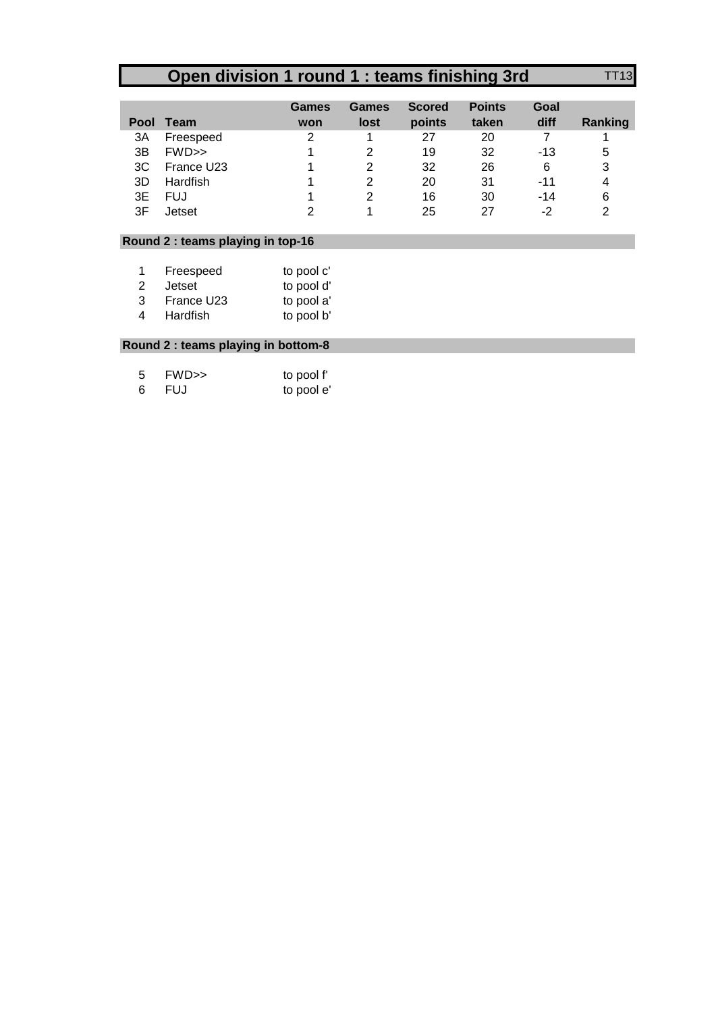## **Open division 1 round 1 : teams finishing 3rd** TT13

|    |               | Games | Games | <b>Scored</b> | <b>Points</b> | Goal  |         |
|----|---------------|-------|-------|---------------|---------------|-------|---------|
|    | Pool Team     | won   | lost  | points        | taken         | diff  | Ranking |
| ЗA | Freespeed     | っ     |       | 27            | 20            |       |         |
| 3B | $FWD \gg$     |       | 2     | 19            | 32            | $-13$ | 5       |
| 3C | France U23    |       | 2     | 32            | 26            | 6     | 3       |
| 3D | Hardfish      |       |       | 20            | 31            | $-11$ | 4       |
| 3Е | FUJ           |       | 2     | 16            | 30            | $-14$ | 6       |
| 3F | <b>Jetset</b> |       |       | 25            | 27            | -2    | າ       |

## **Round 2 : teams playing in top-16**

|   | Freespeed  | to pool c' |
|---|------------|------------|
| 2 | Jetset     | to pool d' |
| 3 | France U23 | to pool a' |
| 4 | Hardfish   | to pool b' |

## **Round 2 : teams playing in bottom-8**

| -5 | FWD >> | to pool f' |
|----|--------|------------|
| -6 | FUJ    | to pool e  |